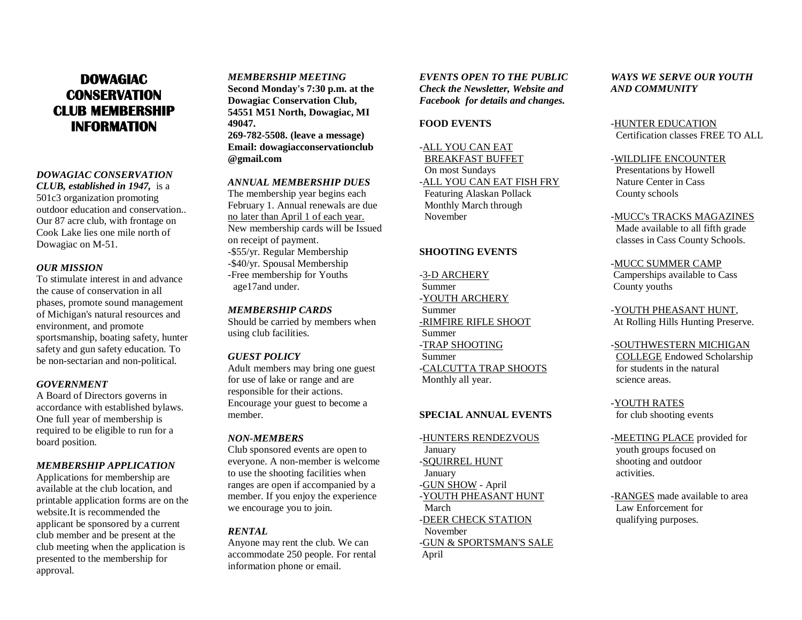# **DOWAGIAC CONSERVATION CLUB MEMBERSHIP INFORMATION**

#### *DOWAGIAC CONSERVATION*

*CLUB, established in 1947,* is a 501c3 organization promoting outdoor education and conservation.. Our 87 acre club, with frontage on Cook Lake lies one mile north of Dowagiac on M-51.

#### *OUR MISSION*

To stimulate interest in and advance the cause of conservation in all phases, promote sound management of Michigan's natural resources and environment, and promote sportsmanship, boating safety, hunter safety and gun safety education. To be non-sectarian and non-political.

#### *GOVERNMENT*

A Board of Directors governs in accordance with established bylaws. One full year of membership is required to be eligible to run for a board position.

### *MEMBERSHIP APPLICATION*

Applications for membership are available at the club location, and printable application forms are on the website.It is recommended the applicant be sponsored by a current club member and be present at the club meeting when the application is presented to the membership for approval.

*MEMBERSHIP MEETING* **Second Monday's 7:30 p.m. at the Dowagiac Conservation Club, 54551 M51 North, Dowagiac, MI 49047. 269-782-5508. (leave a message) Email: dowagiacconservationclub @gmail.com**

## *ANNUAL MEMBERSHIP DUES*

The membership year begins each February 1. Annual renewals are due no later than April 1 of each year. New membership cards will be Issued on receipt of payment. -\$55/yr. Regular Membership -\$40/yr. Spousal Membership -Free membership for Youths age17and under.

#### *MEMBERSHIP CARDS*

Should be carried by members when using club facilities.

#### *GUEST POLICY*

Adult members may bring one guest for use of lake or range and are responsible for their actions. Encourage your guest to become a member.

#### *NON-MEMBERS*

Club sponsored events are open to everyone. A non-member is welcome to use the shooting facilities when ranges are open if accompanied by a member. If you enjoy the experience we encourage you to join.

#### *RENTAL*

Anyone may rent the club. We can accommodate 250 people. For rental information phone or email.

*EVENTS OPEN TO THE PUBLIC Check the Newsletter, Website and Facebook for details and changes.*

#### **FOOD EVENTS**

# -ALL YOU CAN EAT

 BREAKFAST BUFFET On most Sundays -ALL YOU CAN EAT FISH FRY Featuring Alaskan Pollack Monthly March through November

# **SHOOTING EVENTS**

-3-D ARCHERY Summer -YOUTH ARCHERY Summer -RIMFIRE RIFLE SHOOT Summer -TRAP SHOOTING Summer -CALCUTTA TRAP SHOOTS Monthly all year.

### **SPECIAL ANNUAL EVENTS**

# -HUNTERS RENDEZVOUS

 January -SQUIRREL HUNT January -GUN SHOW - April -YOUTH PHEASANT HUNT March -DEER CHECK STATION November -GUN & SPORTSMAN'S SALE April

# *WAYS WE SERVE OUR YOUTH AND COMMUNITY*

### -HUNTER EDUCATION Certification classes FREE TO ALL

#### -WILDLIFE ENCOUNTER

 Presentations by Howell Nature Center in Cass County schools

#### -MUCC's TRACKS MAGAZINES

Made available to all fifth grade classes in Cass County Schools.

#### -MUCC SUMMER CAMP

Camperships available to Cass County youths

-YOUTH PHEASANT HUNT, At Rolling Hills Hunting Preserve.

#### -SOUTHWESTERN MICHIGAN

 COLLEGE Endowed Scholarship for students in the natural science areas.

# -YOUTH RATES

for club shooting events

# -MEETING PLACE provided for

 youth groups focused on shooting and outdoor activities.

-RANGES made available to area Law Enforcement for qualifying purposes.